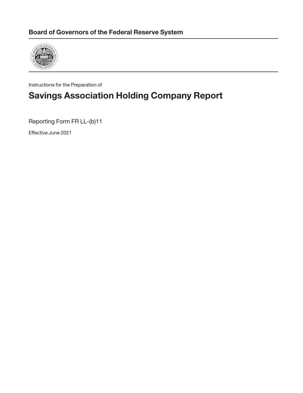

Instructions for the Preparation of

# **Savings Association Holding Company Report**

Reporting Form FR LL-(b)11

Effective June 2021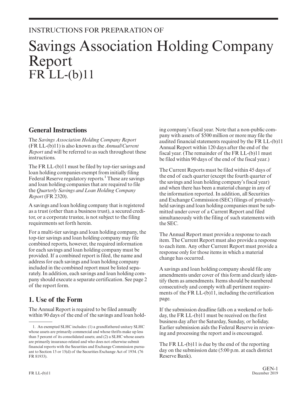# INSTRUCTIONS FOR PREPARATION OF

# Savings Association Holding Company Report FR LL-(b)11

### **General Instructions**

The *Savings Association Holding Company Report* (FR LL-(b)11) is also known as the *Annual/Current Report* and will be referred to as such throughout these instructions.

The FR LL-(b)11 must be filed by top-tier savings and loan holding companies exempt from initially filing Federal Reserve regulatory reports.<sup>1</sup> These are savings and loan holding companies that are required to file the *Quarterly Savings and Loan Holding Company Report* (FR 2320).

A savings and loan holding company that is registered as a trust (other than a business trust), a secured creditor, or a corporate trustee, is not subject to the filing requirements set forth herein.

For a multi-tier savings and loan holding company, the top-tier savings and loan holding company may file combined reports, however, the required information for each savings and loan holding company must be provided. If a combined report is filed, the name and address for each savings and loan holding company included in the combined report must be listed separately. In addition, each savings and loan holding company should execute a separate certification. See page 2 of the report form.

## **1. Use of the Form**

The Annual Report is required to be filed annually within 90 days of the end of the savings and loan holding company's fiscal year. Note that a non-public company with assets of \$500 million or more may file the audited financial statements required by the FR LL-(b)11 Annual Report within 120 days after the end of the fiscal year. (The remainder of the FR LL-(b)11 must be filed within 90 days of the end of the fiscal year.)

The Current Reports must be filed within 45 days of the end of each quarter (except the fourth quarter of the savings and loan holding company's fiscal year) and when there has been a material change in any of the information reported. In addition, all Securities and Exchange Commission (SEC) filings of privatelyheld savings and loan holding companies must be submitted under cover of a Current Report and filed simultaneously with the filing of such statements with the SEC.

The Annual Report must provide a response to each item. The Current Report must also provide a response to each item. Any other Current Report must provide a response only for those items in which a material change has occurred.

A savings and loan holding company should file any amendments under cover of this form and clearly identify them as amendments. Items should be numbered consecutively and comply with all pertinent requirements of the FR LL-(b)11, including the certification page.

If the submission deadline falls on a weekend or holiday, the FR LL-(b)11 must be received on the first business day after the Saturday, Sunday, or holiday. Earlier submission aids the Federal Reserve in reviewing and processing the report and is encouraged.

The FR LL-(b)11 is due by the end of the reporting day on the submission date (5:00 p.m. at each district Reserve Bank).

<sup>1.</sup> An exempted SLHC includes: (1) a grandfathered unitary SLHC whose assets are primarily commercial and whose thrifts make up less than 5 percent of its consolidated assets; and (2) a SLHC whose assets are primarily insurance-related and who does not otherwise submit financial reports with the Securities and Exchange Commission pursuant to Section 13 or 15(d) of the Securities Exchange Act of 1934. (76 FR 81933).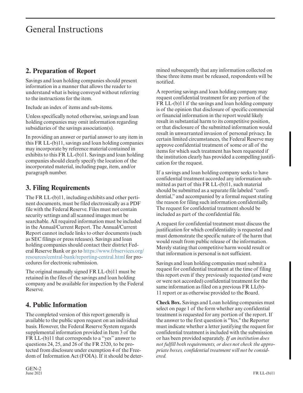# General Instructions

## **2. Preparation of Report**

Savings and loan holding companies should present information in a manner that allows the reader to understand what is being conveyed without referring to the instructions for the item.

Include an index of items and sub-items.

Unless specifically noted otherwise, savings and loan holding companies may omit information regarding subsidiaries of the savings association(s).

In providing an answer or partial answer to any item in this FR LL-(b)11, savings and loan holding companies may incorporate by reference material contained in exhibits to this FR LL-(b)11. Savings and loan holding companies should clearly specify the location of the incorporated material, including page, item, and/or paragraph number.

## **3. Filing Requirements**

The FR LL-(b)11, including exhibits and other pertinent documents, must be filed electronically as a PDF file with the Federal Reserve. Files must not contain security settings and all scanned images must be searchable. All required information must be included in the Annual/Current Report. The Annual/Current Report cannot include links to other documents (such as SEC filings or press releases). Savings and loan holding companies should contact their district Federal Reserve Bank or go to [https://www.frbservices.org/](https://www.frbservices.org/resources/central-bank/reporting-central.html) [resources/central-bank/reporting-central.html](https://www.frbservices.org/resources/central-bank/reporting-central.html) for procedures for electronic submission.

The original manually signed FR LL-(b)11 must be retained in the files of the savings and loan holding company and be available for inspection by the Federal Reserve.

## **4. Public Information**

The completed version of this report generally is available to the public upon request on an individual basis. However, the Federal Reserve System regards supplemental information provided in Item 3 of the FR LL-(b)11 that corresponds to a "yes" answer to questions 24, 25, and 26 of the FR 2320, to be protected from disclosure under exemption 4 of the Freedom of Information Act (FOIA). If it should be determined subsequently that any information collected on these three items must be released, respondents will be notified.

A reporting savings and loan holding company may request confidential treatment for any portion of the FR LL-(b)11 if the savings and loan holding company is of the opinion that disclosure of specific commercial or financial information in the report would likely result in substantial harm to its competitive position, or that disclosure of the submitted information would result in unwarranted invasion of personal privacy. In certain limited circumstances, the Federal Reserve may approve confidential treatment of some or all of the items for which such treatment has been requested if the institution clearly has provided a compelling justification for the request.

If a savings and loan holding company seeks to have confidential treatment accorded any information submitted as part of this FR LL-(b)11, such material should be submitted as a separate file labeled "confidential," and accompanied by a formal request stating the reason for filing such information confidentially. The request for confidential treatment should be included as part of the confidential file.

A request for confidential treatment must discuss the justification for which confidentiality is requested and must demonstrate the specific nature of the harm that would result from public release of the information. Merely stating that competitive harm would result or that information is personal is not sufficient.

Savings and loan holding companies must submit a request for confidential treatment at the time of filing this report even if they previously requested (and were or were not accorded) confidential treatment for the same information as filed on a previous FR LL(b)- 11 report or as otherwise provided to the Board.

**Check Box.** Savings and Loan holding companies must select on page 1 of the form whether any confidential treatment is requested for any portion of the report. If the answer to the first question is "Yes," the Reporter must indicate whether a letter justifying the request for confidential treatment is included with the submission or has been provided separately. *If an institution does not fulfill both requirements, or does not check the appropriate boxes, confidential treatment will not be considered.*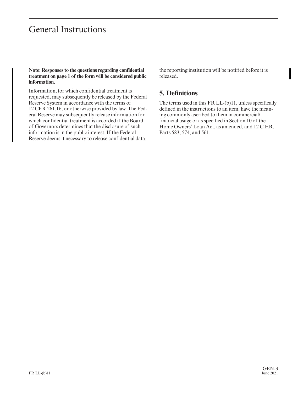# General Instructions

**Note: Responses to the questions regarding confidential treatment on page 1 of the form will be considered public information.**

Information, for which confidential treatment is requested, may subsequently be released by the Federal Reserve System in accordance with the terms of 12 CFR 261.16, or otherwise provided by law. The Federal Reserve may subsequently release information for which confidential treatment is accorded if the Board of Governors determines that the disclosure of such information is in the public interest. If the Federal Reserve deems it necessary to release confidential data,

the reporting institution will be notified before it is released.

## **5. Definitions**

The terms used in this FR LL-(b)11, unless specifically defined in the instructions to an item, have the meaning commonly ascribed to them in commercial/ financial usage or as specified in Section 10 of the Home Owners' Loan Act, as amended, and 12 C.F.R. Parts 583, 574, and 561.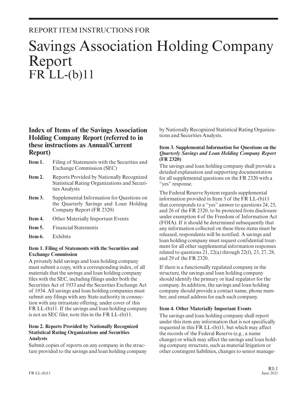# REPORT ITEM INSTRUCTIONS FOR

# Savings Association Holding Company Report FR LL-(b)11

### **Index of Items of the Savings Association Holding Company Report (referred to in these instructions as Annual/Current Report)**

- **Item 1.** Filing of Statements with the Securities and Exchange Commission (SEC)
- **Item 2.** Reports Provided by Nationally Recognized Statistical Rating Organizations and Securities Analysts
- **Item 3.** Supplemental Information for Questions on the Quarterly Savings and Loan Holding Company Report (FR 2320)
- **Item 4.** Other Materially Important Events
- **Item 5.** Financial Statements
- **Item 6.** Exhibits

#### **Item 1. Filing of Statements with the Securities and Exchange Commission**

A privately held savings and loan holding company must submit a copy, with a corresponding index, of all materials that the savings and loan holding company files with the SEC, including filings under both the Securities Act of 1933 and the Securities Exchange Act of 1934. All savings and loan holding companies must submit any filings with any State authority in connection with any intrastate offering, under cover of this FR LL-(b)11. If the savings and loan holding company is not an SEC filer, note this in the FR LL-(b)11.

#### **Item 2. Reports Provided by Nationally Recognized Statistical Rating Organizations and Securities Analysts**

Submit copies of reports on any company in the structure provided to the savings and loan holding company by Nationally Recognized Statistical Rating Organizations and Securities Analysts.

#### **Item 3. Supplemental Information for Questions on the** *Quarterly Savings and Loan Holding Company Report* **(FR 2320)**

The savings and loan holding company shall provide a detailed explanation and supporting documentation for all supplemental questions on the FR 2320 with a "yes" response.

The Federal Reserve System regards supplemental information provided in Item 3 of the FR LL-(b)11 that corresponds to a "yes" answer to questions 24, 25, and 26 of the FR 2320, to be protected from disclosure under exemption 4 of the Freedom of Information Act (FOIA). If it should be determined subsequently that any information collected on these three items must be released, respondents will be notified. A savings and loan holding company must request confidential treatment for all other supplemental information responses related to questions  $21, 22(a)$  through  $22(f), 23, 27, 28$ , and 29 of the FR 2320.

If there is a functionally regulated company in the structure, the savings and loan holding company should identify the primary or lead regulator for the company. In addition, the savings and loan holding company should provide a contact name, phone number, and email address for each such company.

#### **Item 4. Other Materially Important Events**

The savings and loan holding company shall report under this item any information that is not specifically requested in this FR LL-(b)11, but which may affect the records of the Federal Reserve (e.g., a name change) or which may affect the savings and loan holding company structure, such as material litigation or other contingent liabilities, changes to senior manage-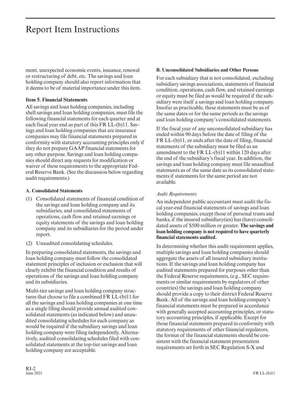# Report Item Instructions

ment, unexpected economic events, issuance, renewal or restructuring of debt, etc. The savings and loan holding company should also report information that it deems to be of material importance under this item.

#### **Item 5. Financial Statements**

All savings and loan holding companies, including shell savings and loan holding companies, must file the following financial statements for each quarter and at each fiscal year end as part of this FR LL-(b)11. Savings and loan holding companies that are insurance companies may file financial statements prepared in conformity with statutory accounting principles only if they do not prepare GAAP financial statements for any other purpose. Savings and loan holding companies should direct any requests for modification or waiver of these requirements to the appropriate Federal Reserve Bank. (See the discussion below regarding audit requirements.)

#### **A. Consolidated Statements**

- (1) Consolidated statements of financial condition of the savings and loan holding company and its subsidiaries, and consolidated statements of operations, cash flow and retained earnings or equity statements of the savings and loan holding company and its subsidiaries for the period under report.
- (2) Unaudited consolidating schedules.

In preparing consolidated statements, the savings and loan holding company must follow the consolidated statement principles of inclusion or exclusion that will clearly exhibit the financial condition and results of operations of the savings and loan holding company and its subsidiaries.

Multi-tier savings and loan holding company structures that choose to file a combined FR LL-(b)11 for all the savings and loan holding companies at one time as a single filing should provide annual audited consolidated statements (as indicated below) and unaudited consolidating schedules for each company as would be required if the subsidiary savings and loan holding company were filing independently. Alternatively, audited consolidating schedules filed with consolidated statements at the top-tier savings and loan holding company are acceptable.

#### **B. Unconsolidated Subsidiaries and Other Persons**

For each subsidiary that is not consolidated, excluding subsidiary savings associations, statements of financial condition, operations, cash flow, and retained earnings or equity must be filed as would be required if the subsidiary were itself a savings and loan holding company. Insofar as practicable, these statements must be as of the same dates or for the same periods as the savings and loan holding company's consolidated statements.

If the fiscal year of any unconsolidated subsidiary has ended within 90 days before the date of filing of the FR LL-(b)11, or ends after the date of filing, financial statements of the subsidiary must be filed as an amendment to the FR LL-(b)11 within 120 days after the end of the subsidiary's fiscal year. In addition, the savings and loan holding company must file unaudited statements as of the same date as its consolidated statements if statements for the same period are not available.

#### *Audit Requirements*

An independent public accountant must audit the fiscal year-end financial statements of savings and loan holding companies, except those of personal trusts and banks, if the insured subsidiary(ies) has (have) consolidated assets of \$500 million or greater. **The savings and loan holding company is not required to have quarterly financial statements audited.**

In determining whether this audit requirement applies, multiple savings and loan holding companies should aggregate the assets of all insured subsidiary institutions. If the savings and loan holding company has audited statements prepared for purposes other than the Federal Reserve requirements, (e.g., SEC requirements or similar requirements by regulators of other countries) the savings and loan holding company should provide a copy to their district Federal Reserve Bank. All of the savings and loan holding company's financial statements must be prepared in accordance with generally accepted accounting principles, or statutory accounting principles, if applicable. Except for those financial statements prepared in conformity with statutory requirements of other financial regulators, the format of the financial statements should be consistent with the financial statement presentation requirements set forth in SEC Regulation S-X and